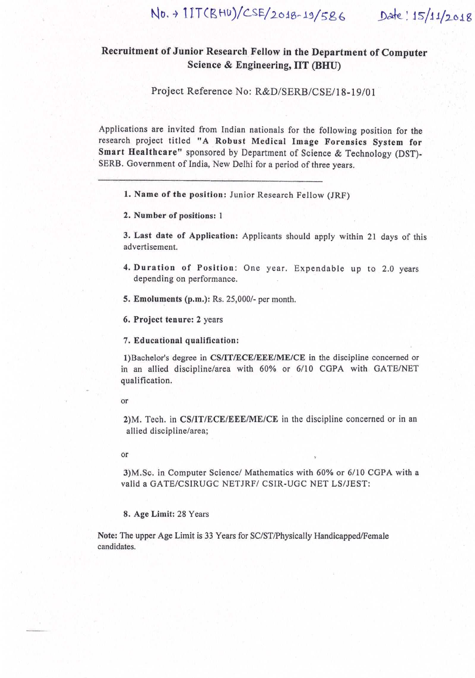# No. + 1IT(BHU)/CSE/2018-19/586 Date: 15/11/2018

# Recruitment of Junior Research Fellow in the Department of Computer Science & Engineering, IIT (BHU)

Project Reference No: R&D/SERB/CSE/18-19/01

Applications are invited from Indian nationals for the following position for the research project titled "A Robust Medical Image Forensics System for Smart Healthcare" sponsored by Department of Science & Technology (DST)-SERB. Government of India, New Delhi for a period of three years.

1. Name of the position: Junior Research Fellow (JRF)

2. Number of positions: 1

3. Last date of Application: Applicants should apply within 21 days of this advertisement.

- 4. Duration of Position: One year. Expendable up to 2.0 years depending on performance.
- 5. Emoluments (p.m.): Rs. 25,000/- per month.
- 6. Project tenure: 2 years

7. Educational qualification:

1) Bachelor's degree in CS/IT/ECE/EEE/ME/CE in the discipline concerned or in an allied discipline/area with 60% or 6/10 CGPA with GATE/NET qualification.

or

2) M. Tech. in CS/IT/ECE/EEE/ME/CE in the discipline concerned or in an allied discipline/area;

or

3) M.Sc. in Computer Science/ Mathematics with 60% or 6/10 CGPA with a valid a GATE/CSIRUGC NETJRF/ CSIR-UGC NET LS/JEST:

8. Age Limit: 28 Years

Note: The upper Age Limit is 33 Years for SC/ST/Physically Handicapped/Female candidates.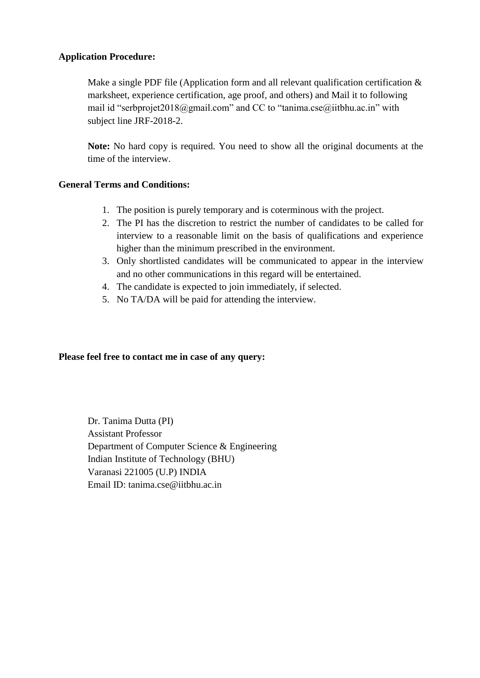#### **Application Procedure:**

Make a single PDF file (Application form and all relevant qualification certification  $\&$ marksheet, experience certification, age proof, and others) and Mail it to following mail id "serbprojet2018@gmail.com" and CC to "tanima.cse@iitbhu.ac.in" with subject line JRF-2018-2.

**Note:** No hard copy is required. You need to show all the original documents at the time of the interview.

#### **General Terms and Conditions:**

- 1. The position is purely temporary and is coterminous with the project.
- 2. The PI has the discretion to restrict the number of candidates to be called for interview to a reasonable limit on the basis of qualifications and experience higher than the minimum prescribed in the environment.
- 3. Only shortlisted candidates will be communicated to appear in the interview and no other communications in this regard will be entertained.
- 4. The candidate is expected to join immediately, if selected.
- 5. No TA/DA will be paid for attending the interview.

#### **Please feel free to contact me in case of any query:**

Dr. Tanima Dutta (PI) Assistant Professor Department of Computer Science & Engineering Indian Institute of Technology (BHU) Varanasi 221005 (U.P) INDIA Email ID: tanima.cse@iitbhu.ac.in